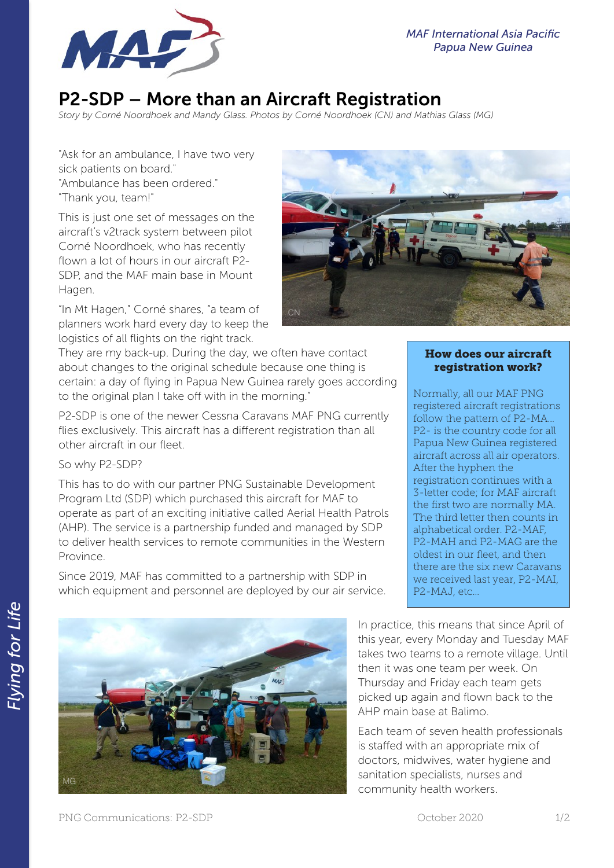

## P2-SDP – More than an Aircraft Registration

*Story by Corné Noordhoek and Mandy Glass. Photos by Corné Noordhoek (CN) and Mathias Glass (MG)* 

"Ask for an ambulance, I have two very sick patients on board." "Ambulance has been ordered." "Thank you, team!"

This is just one set of messages on the aircraft's v2track system between pilot Corné Noordhoek, who has recently flown a lot of hours in our aircraft P2- SDP, and the MAF main base in Mount Hagen.

"In Mt Hagen," Corné shares, "a team of planners work hard every day to keep the logistics of all flights on the right track.



## How does our aircraft registration work?

Normally, all our MAF PNG registered aircraft registrations follow the pattern of P2-MA… P2- is the country code for all Papua New Guinea registered aircraft across all air operators. After the hyphen the registration continues with a 3-letter code; for MAF aircraft the first two are normally MA. The third letter then counts in alphabetical order. P2-MAF, P2-MAH and P2-MAG are the oldest in our fleet, and then there are the six new Caravans we received last year, P2-MAI, P2-MAJ, etc…

In practice, this means that since April of this year, every Monday and Tuesday MAF takes two teams to a remote village. Until then it was one team per week. On Thursday and Friday each team gets picked up again and flown back to the AHP main base at Balimo.

Each team of seven health professionals is staffed with an appropriate mix of doctors, midwives, water hygiene and sanitation specialists, nurses and community health workers.

They are my back-up. During the day, we often have contact about changes to the original schedule because one thing is certain: a day of flying in Papua New Guinea rarely goes according to the original plan I take off with in the morning."

P2-SDP is one of the newer Cessna Caravans MAF PNG currently flies exclusively. This aircraft has a different registration than all other aircraft in our fleet.

## So why P2-SDP?

This has to do with our partner PNG Sustainable Development Program Ltd (SDP) which purchased this aircraft for MAF to operate as part of an exciting initiative called Aerial Health Patrols (AHP). The service is a partnership funded and managed by SDP to deliver health services to remote communities in the Western Province.

Since 2019, MAF has committed to a partnership with SDP in which equipment and personnel are deployed by our air service.